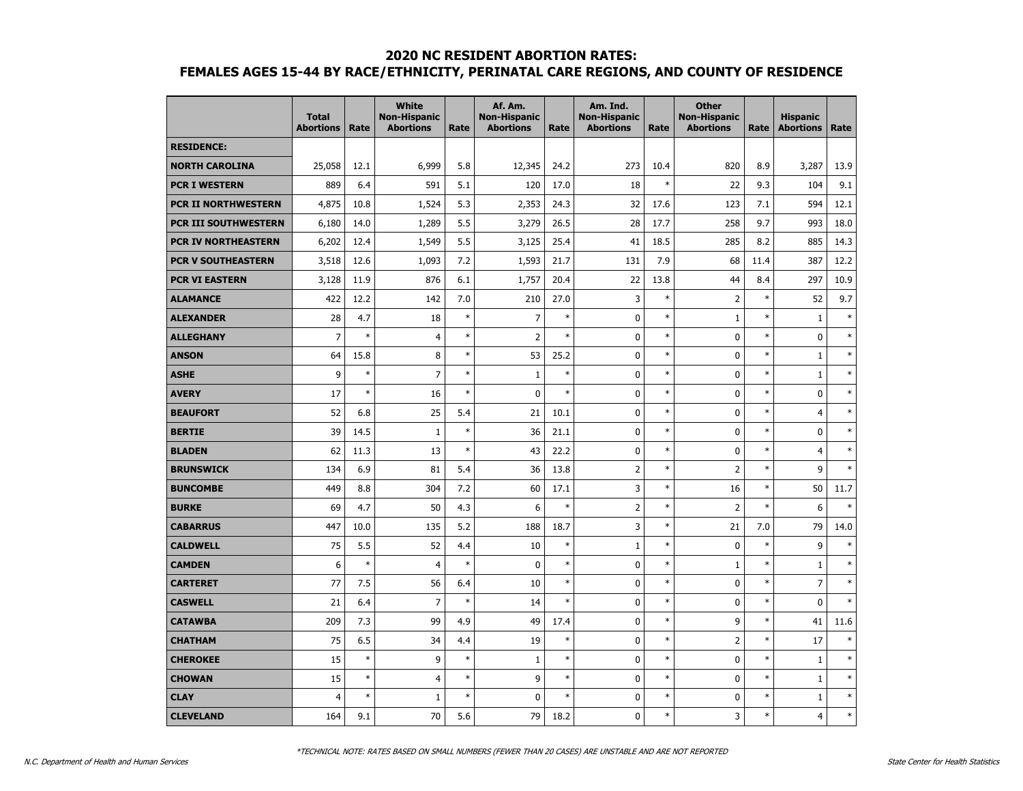|                            | <b>Total</b><br><b>Abortions</b> | Rate   | <b>White</b><br><b>Non-Hispanic</b><br><b>Abortions</b> | Rate   | Af. Am.<br><b>Non-Hispanic</b><br><b>Abortions</b> | Rate   | Am. Ind.<br><b>Non-Hispanic</b><br><b>Abortions</b> | Rate   | <b>Other</b><br><b>Non-Hispanic</b><br><b>Abortions</b> | Rate   | <b>Hispanic</b><br><b>Abortions</b> | Rate   |
|----------------------------|----------------------------------|--------|---------------------------------------------------------|--------|----------------------------------------------------|--------|-----------------------------------------------------|--------|---------------------------------------------------------|--------|-------------------------------------|--------|
| <b>RESIDENCE:</b>          |                                  |        |                                                         |        |                                                    |        |                                                     |        |                                                         |        |                                     |        |
| <b>NORTH CAROLINA</b>      | 25,058                           | 12.1   | 6,999                                                   | 5.8    | 12,345                                             | 24.2   | 273                                                 | 10.4   | 820                                                     | 8.9    | 3,287                               | 13.9   |
| <b>PCR I WESTERN</b>       | 889                              | 6.4    | 591                                                     | 5.1    | 120                                                | 17.0   | 18                                                  | $\ast$ | 22                                                      | 9.3    | 104                                 | 9.1    |
| <b>PCR II NORTHWESTERN</b> | 4,875                            | 10.8   | 1,524                                                   | 5.3    | 2,353                                              | 24.3   | 32                                                  | 17.6   | 123                                                     | 7.1    | 594                                 | 12.1   |
| PCR III SOUTHWESTERN       | 6,180                            | 14.0   | 1,289                                                   | 5.5    | 3,279                                              | 26.5   | 28                                                  | 17.7   | 258                                                     | 9.7    | 993                                 | 18.0   |
| PCR IV NORTHEASTERN        | 6,202                            | 12.4   | 1,549                                                   | 5.5    | 3,125                                              | 25.4   | 41                                                  | 18.5   | 285                                                     | 8.2    | 885                                 | 14.3   |
| <b>PCR V SOUTHEASTERN</b>  | 3,518                            | 12.6   | 1,093                                                   | 7.2    | 1,593                                              | 21.7   | 131                                                 | 7.9    | 68                                                      | 11.4   | 387                                 | 12.2   |
| <b>PCR VI EASTERN</b>      | 3,128                            | 11.9   | 876                                                     | 6.1    | 1,757                                              | 20.4   | 22                                                  | 13.8   | 44                                                      | 8.4    | 297                                 | 10.9   |
| <b>ALAMANCE</b>            | 422                              | 12.2   | 142                                                     | 7.0    | 210                                                | 27.0   | 3                                                   | $\ast$ | $\overline{2}$                                          | $\ast$ | 52                                  | 9.7    |
| <b>ALEXANDER</b>           | 28                               | 4.7    | 18                                                      | $\ast$ | $\overline{7}$                                     | $\ast$ | $\mathbf 0$                                         | $\ast$ | $\mathbf 1$                                             | $\ast$ | $\mathbf 1$                         | $\ast$ |
| <b>ALLEGHANY</b>           | $\overline{7}$                   | $\ast$ | $\overline{4}$                                          | $\ast$ | $\overline{2}$                                     | $\ast$ | $\mathbf 0$                                         | $\ast$ | $\mathbf 0$                                             | $\ast$ | $\mathbf 0$                         | $\ast$ |
| <b>ANSON</b>               | 64                               | 15.8   | 8                                                       | $\ast$ | 53                                                 | 25.2   | 0                                                   | $\ast$ | 0                                                       | $\ast$ | $\mathbf{1}$                        | $\ast$ |
| <b>ASHE</b>                | 9                                | $\ast$ | $\overline{7}$                                          | $\ast$ | $\mathbf{1}$                                       | $\ast$ | 0                                                   | $\ast$ | 0                                                       | $\ast$ | $\mathbf{1}$                        | $\ast$ |
| <b>AVERY</b>               | 17                               | $\ast$ | 16                                                      | $\ast$ | $\mathbf 0$                                        | $\ast$ | 0                                                   | $\ast$ | 0                                                       | $\ast$ | 0                                   | $\ast$ |
| <b>BEAUFORT</b>            | 52                               | 6.8    | 25                                                      | 5.4    | 21                                                 | 10.1   | $\mathbf 0$                                         | $\ast$ | $\mathbf 0$                                             | $\ast$ | $\overline{4}$                      | $\ast$ |
| <b>BERTIE</b>              | 39                               | 14.5   | $\mathbf 1$                                             | $\ast$ | 36                                                 | 21.1   | $\pmb{0}$                                           | $\ast$ | $\mathbf 0$                                             | $\ast$ | $\mathbf 0$                         | $\ast$ |
| <b>BLADEN</b>              | 62                               | 11.3   | 13                                                      | $\ast$ | 43                                                 | 22.2   | 0                                                   | $\ast$ | 0                                                       | $\ast$ | $\overline{4}$                      | $\ast$ |
| <b>BRUNSWICK</b>           | 134                              | 6.9    | 81                                                      | 5.4    | 36                                                 | 13.8   | $\overline{2}$                                      | $\ast$ | $\overline{2}$                                          | $\ast$ | 9                                   | $\ast$ |
| <b>BUNCOMBE</b>            | 449                              | 8.8    | 304                                                     | 7.2    | 60                                                 | 17.1   | 3                                                   | $\ast$ | 16                                                      | $\ast$ | 50                                  | 11.7   |
| <b>BURKE</b>               | 69                               | 4.7    | 50                                                      | 4.3    | 6                                                  | $\ast$ | $\overline{2}$                                      | $\ast$ | $\overline{2}$                                          | $\ast$ | 6                                   | $\ast$ |
| <b>CABARRUS</b>            | 447                              | 10.0   | 135                                                     | 5.2    | 188                                                | 18.7   | 3                                                   | $\ast$ | 21                                                      | 7.0    | 79                                  | 14.0   |
| <b>CALDWELL</b>            | 75                               | 5.5    | 52                                                      | 4.4    | 10                                                 | $\ast$ | $1\,$                                               | $\ast$ | 0                                                       | $\ast$ | 9                                   | $\ast$ |
| <b>CAMDEN</b>              | 6                                | $\ast$ | $\overline{4}$                                          | $\ast$ | $\mathbf 0$                                        | $\ast$ | 0                                                   | $\ast$ | $\mathbf{1}$                                            | $\ast$ | $\mathbf{1}$                        | $\ast$ |
| <b>CARTERET</b>            | 77                               | 7.5    | 56                                                      | 6.4    | 10                                                 | $\ast$ | 0                                                   | $\ast$ | $\mathbf 0$                                             | $\ast$ | $\overline{7}$                      | $\ast$ |
| <b>CASWELL</b>             | 21                               | 6.4    | $\overline{7}$                                          | $\ast$ | 14                                                 | $\ast$ | $\pmb{0}$                                           | $\ast$ | 0                                                       | $\ast$ | $\mathbf 0$                         | $\ast$ |
| <b>CATAWBA</b>             | 209                              | 7.3    | 99                                                      | 4.9    | 49                                                 | 17.4   | $\pmb{0}$                                           | $\ast$ | 9                                                       | $\ast$ | 41                                  | 11.6   |
| <b>CHATHAM</b>             | 75                               | 6.5    | 34                                                      | 4.4    | 19                                                 | $\ast$ | 0                                                   | $\ast$ | $\overline{2}$                                          | $\ast$ | 17                                  | $\ast$ |
| <b>CHEROKEE</b>            | 15                               | $\ast$ | 9                                                       | $\ast$ | $\mathbf{1}$                                       | $\ast$ | 0                                                   | $\ast$ | 0                                                       | $\ast$ | $\mathbf{1}$                        | $\ast$ |
| <b>CHOWAN</b>              | 15                               | $\ast$ | $\overline{4}$                                          | $\ast$ | 9                                                  | $\ast$ | 0                                                   | $\ast$ | 0                                                       | $\ast$ | 1                                   | $\ast$ |
| <b>CLAY</b>                | $\overline{4}$                   | $\ast$ | $\mathbf{1}$                                            | $\ast$ | $\mathbf 0$                                        | $\ast$ | 0                                                   | $\ast$ | 0                                                       | $\ast$ | $\mathbf 1$                         | $\ast$ |
| <b>CLEVELAND</b>           | 164                              | 9.1    | 70                                                      | 5.6    | 79                                                 | 18.2   | 0                                                   | $\ast$ | 3                                                       | $\ast$ | $\overline{4}$                      | $\ast$ |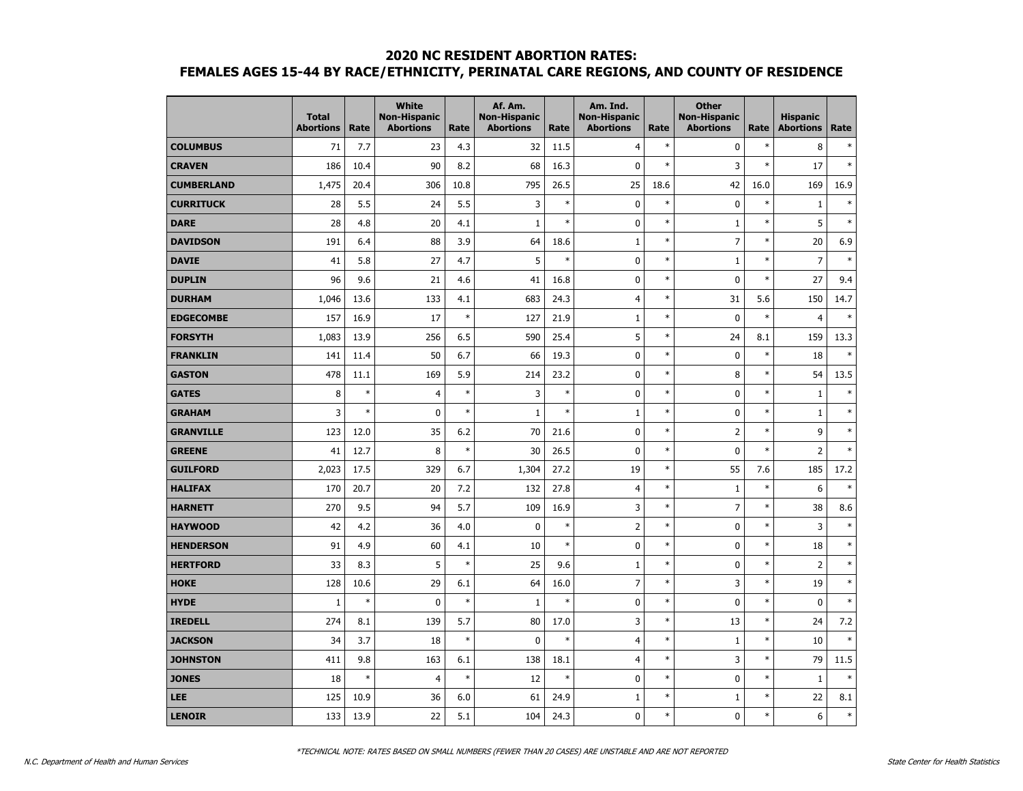|                   | <b>Total</b><br><b>Abortions</b> | Rate   | <b>White</b><br><b>Non-Hispanic</b><br><b>Abortions</b> | Rate   | Af. Am.<br><b>Non-Hispanic</b><br><b>Abortions</b> | Rate   | Am. Ind.<br><b>Non-Hispanic</b><br><b>Abortions</b> | Rate   | <b>Other</b><br><b>Non-Hispanic</b><br><b>Abortions</b> | Rate   | <b>Hispanic</b><br><b>Abortions</b> | Rate   |
|-------------------|----------------------------------|--------|---------------------------------------------------------|--------|----------------------------------------------------|--------|-----------------------------------------------------|--------|---------------------------------------------------------|--------|-------------------------------------|--------|
| <b>COLUMBUS</b>   | 71                               | 7.7    | 23                                                      | 4.3    | 32                                                 | 11.5   | $\overline{4}$                                      | $\ast$ | $\mathbf 0$                                             | $\ast$ | 8                                   | $\ast$ |
| <b>CRAVEN</b>     | 186                              | 10.4   | 90                                                      | 8.2    | 68                                                 | 16.3   | $\mathbf 0$                                         | $\ast$ | 3                                                       | $\ast$ | 17                                  | $\ast$ |
| <b>CUMBERLAND</b> | 1,475                            | 20.4   | 306                                                     | 10.8   | 795                                                | 26.5   | 25                                                  | 18.6   | 42                                                      | 16.0   | 169                                 | 16.9   |
| <b>CURRITUCK</b>  | 28                               | 5.5    | 24                                                      | 5.5    | 3                                                  | $\ast$ | $\pmb{0}$                                           | $\ast$ | $\mathbf 0$                                             | $\ast$ | $\mathbf 1$                         | $\ast$ |
| <b>DARE</b>       | 28                               | 4.8    | 20                                                      | 4.1    | $\mathbf{1}$                                       | $\ast$ | $\mathbf 0$                                         | $\ast$ | $\mathbf{1}$                                            | $\ast$ | 5                                   | $\ast$ |
| <b>DAVIDSON</b>   | 191                              | 6.4    | 88                                                      | 3.9    | 64                                                 | 18.6   | $\mathbf{1}$                                        | $\ast$ | $\overline{7}$                                          | $\ast$ | 20                                  | 6.9    |
| <b>DAVIE</b>      | 41                               | 5.8    | 27                                                      | 4.7    | 5                                                  | $\ast$ | $\mathbf 0$                                         | $\ast$ | $\mathbf{1}$                                            | $\ast$ | $\overline{7}$                      | $\ast$ |
| <b>DUPLIN</b>     | 96                               | 9.6    | 21                                                      | 4.6    | 41                                                 | 16.8   | $\pmb{0}$                                           | $\ast$ | $\mathbf 0$                                             | $\ast$ | 27                                  | 9.4    |
| <b>DURHAM</b>     | 1,046                            | 13.6   | 133                                                     | 4.1    | 683                                                | 24.3   | $\overline{4}$                                      | $\ast$ | 31                                                      | 5.6    | 150                                 | 14.7   |
| <b>EDGECOMBE</b>  | 157                              | 16.9   | 17                                                      | $\ast$ | 127                                                | 21.9   | $\mathbf{1}$                                        | $\ast$ | $\mathbf 0$                                             | $\ast$ | $\overline{4}$                      | $\ast$ |
| <b>FORSYTH</b>    | 1,083                            | 13.9   | 256                                                     | 6.5    | 590                                                | 25.4   | 5                                                   | $\ast$ | 24                                                      | 8.1    | 159                                 | 13.3   |
| <b>FRANKLIN</b>   | 141                              | 11.4   | 50                                                      | 6.7    | 66                                                 | 19.3   | $\pmb{0}$                                           | $\ast$ | $\mathbf 0$                                             | $\ast$ | 18                                  | $\ast$ |
| <b>GASTON</b>     | 478                              | 11.1   | 169                                                     | 5.9    | 214                                                | 23.2   | $\mathbf 0$                                         | $\ast$ | 8                                                       | $\ast$ | 54                                  | 13.5   |
| <b>GATES</b>      | 8                                | $\ast$ | $\overline{4}$                                          | $\ast$ | 3                                                  | $\ast$ | $\mathbf 0$                                         | $\ast$ | $\mathbf 0$                                             | $\ast$ | $\mathbf{1}$                        | $\ast$ |
| <b>GRAHAM</b>     | 3                                | $\ast$ | $\pmb{0}$                                               | $\ast$ | $\mathbf{1}$                                       | $\ast$ | $\mathbf{1}$                                        | $\ast$ | $\mathbf 0$                                             | $\ast$ | $\mathbf{1}$                        | $\ast$ |
| <b>GRANVILLE</b>  | 123                              | 12.0   | 35                                                      | 6.2    | 70                                                 | 21.6   | $\pmb{0}$                                           | $\ast$ | $\overline{2}$                                          | $\ast$ | 9                                   | $\ast$ |
| <b>GREENE</b>     | 41                               | 12.7   | 8                                                       | $\ast$ | 30                                                 | 26.5   | $\mathbf 0$                                         | $\ast$ | $\mathbf 0$                                             | $\ast$ | 2                                   | $\ast$ |
| <b>GUILFORD</b>   | 2,023                            | 17.5   | 329                                                     | 6.7    | 1,304                                              | 27.2   | 19                                                  | $\ast$ | 55                                                      | 7.6    | 185                                 | 17.2   |
| <b>HALIFAX</b>    | 170                              | 20.7   | 20                                                      | 7.2    | 132                                                | 27.8   | $\overline{4}$                                      | $\ast$ | $1\,$                                                   | $\ast$ | 6                                   | $\ast$ |
| <b>HARNETT</b>    | 270                              | 9.5    | 94                                                      | 5.7    | 109                                                | 16.9   | 3                                                   | $\ast$ | $\overline{7}$                                          | $\ast$ | 38                                  | 8.6    |
| <b>HAYWOOD</b>    | 42                               | 4.2    | 36                                                      | 4.0    | $\mathbf{0}$                                       | $\ast$ | $\overline{2}$                                      | $\ast$ | $\mathbf 0$                                             | $\ast$ | 3                                   | $\ast$ |
| <b>HENDERSON</b>  | 91                               | 4.9    | 60                                                      | 4.1    | 10                                                 | $\ast$ | $\mathbf 0$                                         | $\ast$ | $\mathbf 0$                                             | $\ast$ | 18                                  | $\ast$ |
| <b>HERTFORD</b>   | 33                               | 8.3    | 5                                                       | $\ast$ | 25                                                 | 9.6    | $\mathbf{1}$                                        | $\ast$ | $\mathbf 0$                                             | $\ast$ | 2                                   | $\ast$ |
| <b>HOKE</b>       | 128                              | 10.6   | 29                                                      | 6.1    | 64                                                 | 16.0   | $\overline{7}$                                      | $\ast$ | 3                                                       | $\ast$ | 19                                  | $\ast$ |
| <b>HYDE</b>       | $\mathbf{1}$                     | $\ast$ | $\mathbf 0$                                             | $\ast$ | $\mathbf{1}$                                       | $\ast$ | $\mathbf 0$                                         | $\ast$ | $\mathbf 0$                                             | $\ast$ | 0                                   | $\ast$ |
| <b>IREDELL</b>    | 274                              | 8.1    | 139                                                     | 5.7    | 80                                                 | 17.0   | 3                                                   | $\ast$ | 13                                                      | $\ast$ | 24                                  | 7.2    |
| <b>JACKSON</b>    | 34                               | 3.7    | 18                                                      | $\ast$ | $\mathbf 0$                                        | $\ast$ | $\overline{4}$                                      | $\ast$ | $\mathbf{1}$                                            | $\ast$ | 10                                  | $\ast$ |
| <b>JOHNSTON</b>   | 411                              | 9.8    | 163                                                     | 6.1    | 138                                                | 18.1   | 4                                                   | $\ast$ | 3                                                       | $\ast$ | 79                                  | 11.5   |
| <b>JONES</b>      | 18                               | $\ast$ | $\overline{4}$                                          | $\ast$ | 12                                                 | $\ast$ | $\mathbf 0$                                         | $\ast$ | $\mathbf 0$                                             | $\ast$ | $\mathbf{1}$                        | $\ast$ |
| <b>LEE</b>        | 125                              | 10.9   | 36                                                      | 6.0    | 61                                                 | 24.9   | $\mathbf{1}$                                        | $\ast$ | $1\,$                                                   | $\ast$ | 22                                  | 8.1    |
| <b>LENOIR</b>     | 133                              | 13.9   | 22                                                      | 5.1    | 104                                                | 24.3   | $\mathbf 0$                                         | $\ast$ | $\mathbf 0$                                             | $\ast$ | 6                                   | $\ast$ |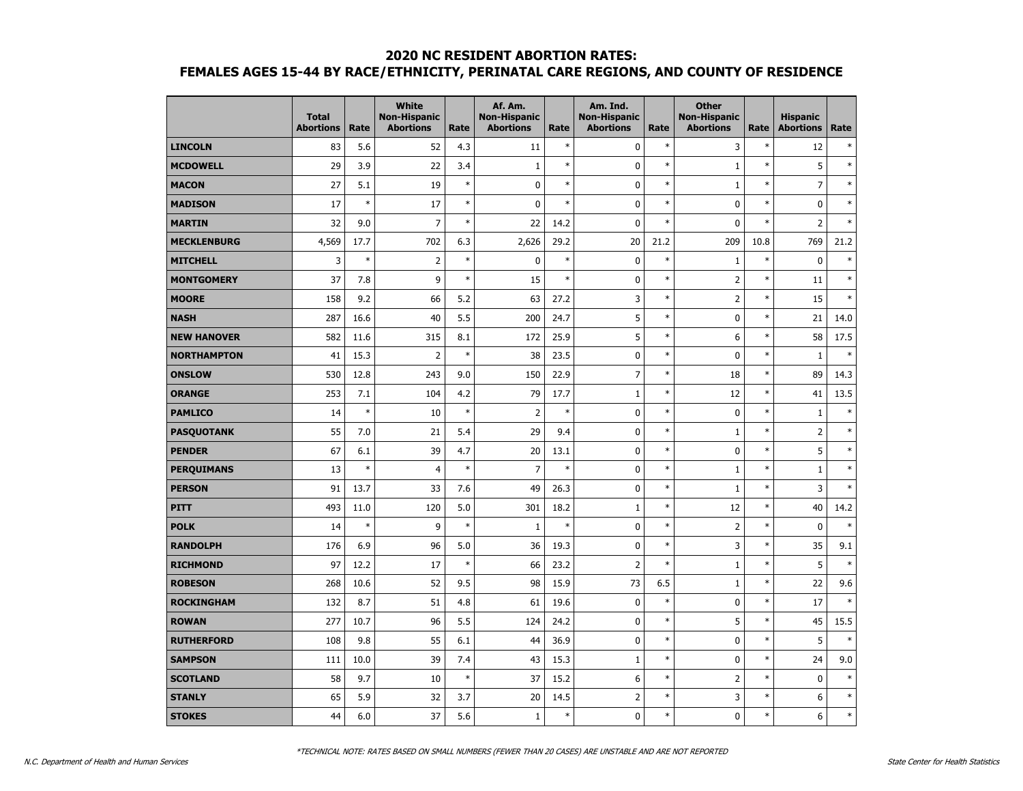|                    | <b>Total</b><br><b>Abortions</b> | Rate   | <b>White</b><br><b>Non-Hispanic</b><br><b>Abortions</b> | Rate   | Af. Am.<br><b>Non-Hispanic</b><br><b>Abortions</b> | Rate   | Am. Ind.<br><b>Non-Hispanic</b><br><b>Abortions</b> | Rate   | <b>Other</b><br><b>Non-Hispanic</b><br><b>Abortions</b> | Rate   | <b>Hispanic</b><br><b>Abortions</b> | Rate   |
|--------------------|----------------------------------|--------|---------------------------------------------------------|--------|----------------------------------------------------|--------|-----------------------------------------------------|--------|---------------------------------------------------------|--------|-------------------------------------|--------|
| <b>LINCOLN</b>     | 83                               | 5.6    | 52                                                      | 4.3    | 11                                                 | $\ast$ | $\pmb{0}$                                           | $\ast$ | 3                                                       | $\ast$ | 12                                  | $\ast$ |
| <b>MCDOWELL</b>    | 29                               | 3.9    | 22                                                      | 3.4    | $\mathbf{1}$                                       | $\ast$ | $\pmb{0}$                                           | $\ast$ | 1                                                       | $\ast$ | 5                                   | $\ast$ |
| <b>MACON</b>       | 27                               | 5.1    | 19                                                      | $\ast$ | 0                                                  | $\ast$ | $\mathbf 0$                                         | $\ast$ | $\mathbf{1}$                                            | $\ast$ | $\overline{7}$                      | $\ast$ |
| <b>MADISON</b>     | 17                               | $\ast$ | 17                                                      | $\ast$ | $\mathbf 0$                                        | $\ast$ | 0                                                   | $\ast$ | $\mathbf 0$                                             | $\ast$ | 0                                   | $\ast$ |
| <b>MARTIN</b>      | 32                               | 9.0    | $\overline{7}$                                          | $\ast$ | 22                                                 | 14.2   | 0                                                   | $\ast$ | $\mathbf{0}$                                            | $\ast$ | $\overline{2}$                      | $\ast$ |
| <b>MECKLENBURG</b> | 4,569                            | 17.7   | 702                                                     | 6.3    | 2,626                                              | 29.2   | 20                                                  | 21.2   | 209                                                     | 10.8   | 769                                 | 21.2   |
| <b>MITCHELL</b>    | 3                                | $\ast$ | $\overline{2}$                                          | $\ast$ | 0                                                  | $\ast$ | $\pmb{0}$                                           | $\ast$ | 1                                                       | $\ast$ | $\mathbf 0$                         | $\ast$ |
| <b>MONTGOMERY</b>  | 37                               | 7.8    | 9                                                       | $\ast$ | 15                                                 | $\ast$ | 0                                                   | $\ast$ | $\overline{2}$                                          | $\ast$ | 11                                  | $\ast$ |
| <b>MOORE</b>       | 158                              | 9.2    | 66                                                      | 5.2    | 63                                                 | 27.2   | 3                                                   | $\ast$ | $\overline{2}$                                          | $\ast$ | 15                                  | $\ast$ |
| <b>NASH</b>        | 287                              | 16.6   | 40                                                      | 5.5    | 200                                                | 24.7   | 5                                                   | $\ast$ | $\mathbf 0$                                             | $\ast$ | 21                                  | 14.0   |
| <b>NEW HANOVER</b> | 582                              | 11.6   | 315                                                     | 8.1    | 172                                                | 25.9   | 5                                                   | $\ast$ | 6                                                       | $\ast$ | 58                                  | 17.5   |
| <b>NORTHAMPTON</b> | 41                               | 15.3   | 2                                                       | $\ast$ | 38                                                 | 23.5   | 0                                                   | $\ast$ | $\mathbf 0$                                             | $\ast$ | $\mathbf{1}$                        | $\ast$ |
| <b>ONSLOW</b>      | 530                              | 12.8   | 243                                                     | 9.0    | 150                                                | 22.9   | $\overline{7}$                                      | $\ast$ | 18                                                      | $\ast$ | 89                                  | 14.3   |
| <b>ORANGE</b>      | 253                              | 7.1    | 104                                                     | 4.2    | 79                                                 | 17.7   | $\mathbf{1}$                                        | $\ast$ | 12                                                      | $\ast$ | 41                                  | 13.5   |
| <b>PAMLICO</b>     | 14                               | $\ast$ | 10                                                      | $\ast$ | $\overline{2}$                                     | $\ast$ | $\pmb{0}$                                           | $\ast$ | 0                                                       | $\ast$ | $1\,$                               | $\ast$ |
| <b>PASQUOTANK</b>  | 55                               | 7.0    | 21                                                      | 5.4    | 29                                                 | 9.4    | $\pmb{0}$                                           | $\ast$ | $\mathbf{1}$                                            | $\ast$ | $\overline{2}$                      | $\ast$ |
| <b>PENDER</b>      | 67                               | 6.1    | 39                                                      | 4.7    | 20                                                 | 13.1   | 0                                                   | $\ast$ | 0                                                       | $\ast$ | 5                                   | $\ast$ |
| <b>PERQUIMANS</b>  | 13                               | $\ast$ | $\overline{4}$                                          | $\ast$ | $\overline{7}$                                     | $\ast$ | $\mathbf 0$                                         | $\ast$ | $\mathbf{1}$                                            | $\ast$ | $\mathbf{1}$                        | $\ast$ |
| <b>PERSON</b>      | 91                               | 13.7   | 33                                                      | 7.6    | 49                                                 | 26.3   | $\mathbf 0$                                         | $\ast$ | $\mathbf{1}$                                            | $\ast$ | 3                                   | $\ast$ |
| <b>PITT</b>        | 493                              | 11.0   | 120                                                     | 5.0    | 301                                                | 18.2   | $\mathbf 1$                                         | $\ast$ | 12                                                      | $\ast$ | 40                                  | 14.2   |
| <b>POLK</b>        | 14                               | $\ast$ | 9                                                       | $\ast$ | $\mathbf{1}$                                       | $\ast$ | 0                                                   | $\ast$ | $\overline{2}$                                          | $\ast$ | $\pmb{0}$                           | $\ast$ |
| <b>RANDOLPH</b>    | 176                              | 6.9    | 96                                                      | 5.0    | 36                                                 | 19.3   | 0                                                   | $\ast$ | 3                                                       | $\ast$ | 35                                  | 9.1    |
| <b>RICHMOND</b>    | 97                               | 12.2   | 17                                                      | $\ast$ | 66                                                 | 23.2   | $\overline{2}$                                      | $\ast$ | $\mathbf{1}$                                            | $\ast$ | 5                                   | $\ast$ |
| <b>ROBESON</b>     | 268                              | 10.6   | 52                                                      | 9.5    | 98                                                 | 15.9   | 73                                                  | 6.5    | $\mathbf{1}$                                            | $\ast$ | 22                                  | 9.6    |
| <b>ROCKINGHAM</b>  | 132                              | 8.7    | 51                                                      | 4.8    | 61                                                 | 19.6   | 0                                                   | $\ast$ | 0                                                       | $\ast$ | 17                                  | $\ast$ |
| <b>ROWAN</b>       | 277                              | 10.7   | 96                                                      | 5.5    | 124                                                | 24.2   | $\pmb{0}$                                           | $\ast$ | 5                                                       | $\ast$ | 45                                  | 15.5   |
| <b>RUTHERFORD</b>  | 108                              | 9.8    | 55                                                      | 6.1    | 44                                                 | 36.9   | 0                                                   | $\ast$ | $\mathbf 0$                                             | $\ast$ | 5                                   | $\ast$ |
| <b>SAMPSON</b>     | 111                              | 10.0   | 39                                                      | 7.4    | 43                                                 | 15.3   | $\mathbf{1}$                                        | $\ast$ | $\mathbf 0$                                             | $\ast$ | 24                                  | 9.0    |
| <b>SCOTLAND</b>    | 58                               | 9.7    | 10                                                      | $\ast$ | 37                                                 | 15.2   | 6                                                   | $\ast$ | $\overline{2}$                                          | $\ast$ | $\mathbf 0$                         | $\ast$ |
| <b>STANLY</b>      | 65                               | 5.9    | 32                                                      | 3.7    | 20                                                 | 14.5   | $\overline{2}$                                      | $\ast$ | 3                                                       | $\ast$ | 6                                   | $\ast$ |
| <b>STOKES</b>      | 44                               | 6.0    | 37                                                      | 5.6    | $\mathbf{1}$                                       | $\ast$ | $\mathbf 0$                                         | $\ast$ | 0                                                       | $\ast$ | 6                                   | $\ast$ |